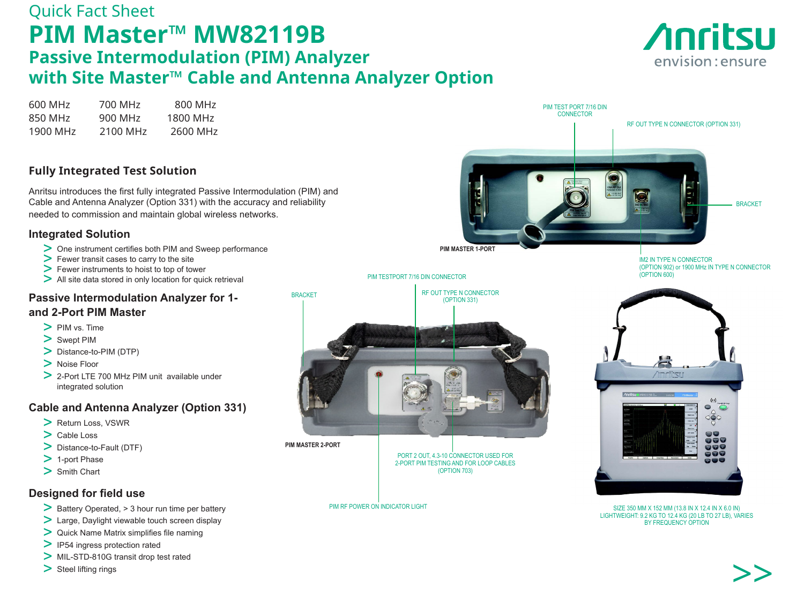# Quick Fact Sheet **PIM Master™ MW82119B Passive Intermodulation (PIM) Analyzer with Site Master™ Cable and Antenna Analyzer Option**

> MIL-STD-810G transit drop test rated

> Steel lifting rings





>>